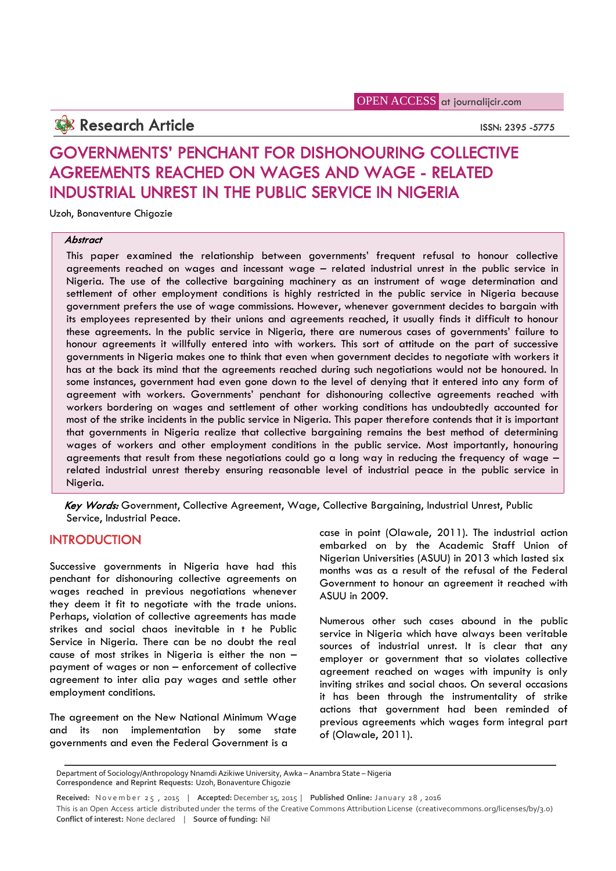**Research Article ISSN: 2395** -5775

# **GOVERNMENTS' PENCHANT FOR DISHONOURING COLLECTIVE AGREEMENTS REACHED ON WAGES AND WAGE - RELATED INDUSTRIAL UNREST IN THE PUBLIC SERVICE IN NIGERIA**

Uzoh, Bonaventure Chigozie

### *Abstract*

This paper examined the relationship between governments' frequent refusal to honour collective agreements reached on wages and incessant wage – related industrial unrest in the public service in Nigeria. The use of the collective bargaining machinery as an instrument of wage determination and settlement of other employment conditions is highly restricted in the public service in Nigeria because government prefers the use of wage commissions. However, whenever government decides to bargain with its employees represented by their unions and agreements reached, it usually finds it difficult to honour these agreements. In the public service in Nigeria, there are numerous cases of governments' failure to honour agreements it willfully entered into with workers. This sort of attitude on the part of successive governments in Nigeria makes one to think that even when government decides to negotiate with workers it has at the back its mind that the agreements reached during such negotiations would not be honoured. In some instances, government had even gone down to the level of denying that it entered into any form of agreement with workers. Governments' penchant for dishonouring collective agreements reached with workers bordering on wages and settlement of other working conditions has undoubtedly accounted for most of the strike incidents in the public service in Nigeria. This paper therefore contends that it is important that governments in Nigeria realize that collective bargaining remains the best method of determining wages of workers and other employment conditions in the public service. Most importantly, honouring agreements that result from these negotiations could go a long way in reducing the frequency of wage – related industrial unrest thereby ensuring reasonable level of industrial peace in the public service in Nigeria.

*Key Words:* Government, Collective Agreement, Wage, Collective Bargaining, Industrial Unrest, Public Service, Industrial Peace.

# **INTRODUCTION**

Successive governments in Nigeria have had this penchant for dishonouring collective agreements on wages reached in previous negotiations whenever they deem it fit to negotiate with the trade unions. Perhaps, violation of collective agreements has made strikes and social chaos inevitable in t he Public Service in Nigeria. There can be no doubt the real cause of most strikes in Nigeria is either the non – payment of wages or non – enforcement of collective agreement to inter alia pay wages and settle other employment conditions.

The agreement on the New National Minimum Wage and its non implementation by some state governments and even the Federal Government is a

case in point (Olawale, 2011). The industrial action embarked on by the Academic Staff Union of Nigerian Universities (ASUU) in 2013 which lasted six months was as a result of the refusal of the Federal Government to honour an agreement it reached with ASUU in 2009.

Numerous other such cases abound in the public service in Nigeria which have always been veritable sources of industrial unrest. It is clear that any employer or government that so violates collective agreement reached on wages with impunity is only inviting strikes and social chaos. On several occasions it has been through the instrumentality of strike actions that government had been reminded of previous agreements which wages form integral part of (Olawale, 2011).

Department of Sociology/Anthropology Nnamdi Azikiwe University, Awka – Anambra State – Nigeria<br>Correspondence and Reprint Requests: Uzoh, Bonaventure Chigozie<br>Received: November 25, 2015 | Accepted: December 15, 2015 | Pub

**Conflict of interest:** None declared | **Source of funding:** Nil

Department of Sociology/Anthropology Nnamdi Azikiwe University, Awka – Anambra State – Nigeria **Correspondence and Reprint Requests:** Uzoh, Bonaventure Chigozie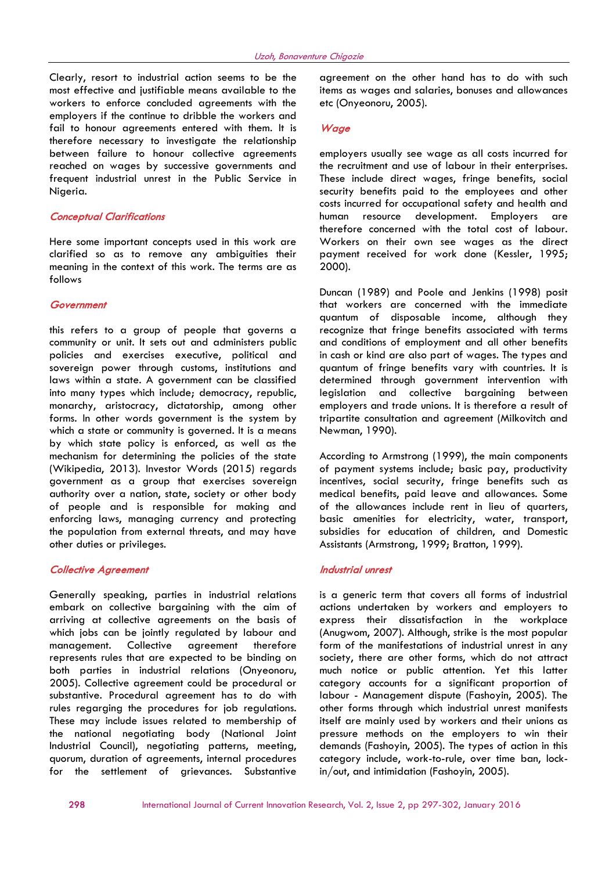Clearly, resort to industrial action seems to be the most effective and justifiable means available to the workers to enforce concluded agreements with the employers if the continue to dribble the workers and fail to honour agreements entered with them. It is therefore necessary to investigate the relationship between failure to honour collective agreements reached on wages by successive governments and frequent industrial unrest in the Public Service in Nigeria.

#### *Conceptual Clarifications*

Here some important concepts used in this work are clarified so as to remove any ambiguities their meaning in the context of this work. The terms are as follows

#### *Government*

this refers to a group of people that governs a community or unit. It sets out and administers public policies and exercises executive, political and sovereign power through customs, institutions and laws within a state. A government can be classified into many types which include; democracy, republic, monarchy, aristocracy, dictatorship, among other forms. In other words government is the system by which a state or community is governed. It is a means by which state policy is enforced, as well as the mechanism for determining the policies of the state (Wikipedia, 2013). Investor Words (2015) regards government as a group that exercises sovereign authority over a nation, state, society or other body of people and is responsible for making and enforcing laws, managing currency and protecting the population from external threats, and may have other duties or privileges.

#### *Collective Agreement*

Generally speaking, parties in industrial relations embark on collective bargaining with the aim of arriving at collective agreements on the basis of which jobs can be jointly regulated by labour and management. Collective agreement therefore represents rules that are expected to be binding on both parties in industrial relations (Onyeonoru, 2005). Collective agreement could be procedural or substantive. Procedural agreement has to do with rules regarging the procedures for job regulations. These may include issues related to membership of the national negotiating body (National Joint Industrial Council), negotiating patterns, meeting, quorum, duration of agreements, internal procedures for the settlement of grievances. Substantive

agreement on the other hand has to do with such items as wages and salaries, bonuses and allowances etc (Onyeonoru, 2005).

#### *Wage*

employers usually see wage as all costs incurred for the recruitment and use of labour in their enterprises. These include direct wages, fringe benefits, social security benefits paid to the employees and other costs incurred for occupational safety and health and human resource development. Employers are therefore concerned with the total cost of labour. Workers on their own see wages as the direct payment received for work done (Kessler, 1995; 2000).

Duncan (1989) and Poole and Jenkins (1998) posit that workers are concerned with the immediate quantum of disposable income, although they recognize that fringe benefits associated with terms and conditions of employment and all other benefits in cash or kind are also part of wages. The types and quantum of fringe benefits vary with countries. It is determined through government intervention with legislation and collective bargaining between employers and trade unions. It is therefore a result of tripartite consultation and agreement (Milkovitch and Newman, 1990).

According to Armstrong (1999), the main components of payment systems include; basic pay, productivity incentives, social security, fringe benefits such as medical benefits, paid leave and allowances. Some of the allowances include rent in lieu of quarters, basic amenities for electricity, water, transport, subsidies for education of children, and Domestic Assistants (Armstrong, 1999; Bratton, 1999).

#### *Industrial unrest*

is a generic term that covers all forms of industrial actions undertaken by workers and employers to express their dissatisfaction in the workplace (Anugwom, 2007). Although, strike is the most popular form of the manifestations of industrial unrest in any society, there are other forms, which do not attract much notice or public attention. Yet this latter category accounts for a significant proportion of labour - Management dispute (Fashoyin, 2005). The other forms through which industrial unrest manifests itself are mainly used by workers and their unions as pressure methods on the employers to win their demands (Fashoyin, 2005). The types of action in this category include, work-to-rule, over time ban, lockin/out, and intimidation (Fashoyin, 2005).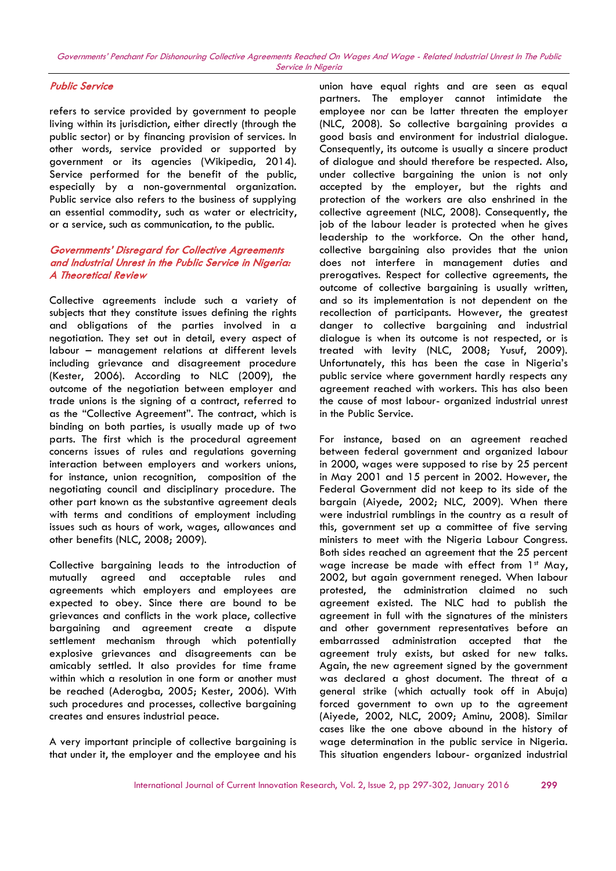## *Public Service*

refers to service provided by government to people living within its jurisdiction, either directly (through the public sector) or by financing provision of services. In other words, service provided or supported by government or its agencies (Wikipedia, 2014). Service performed for the benefit of the public, especially by a non-governmental organization. Public service also refers to the business of supplying an essential commodity, such as water or electricity, or a service, such as communication, to the public.

## *Governments' Disregard for Collective Agreements and Industrial Unrest in the Public Service in Nigeria: A Theoretical Review*

Collective agreements include such a variety of subjects that they constitute issues defining the rights and obligations of the parties involved in a negotiation. They set out in detail, every aspect of labour – management relations at different levels including grievance and disagreement procedure (Kester, 2006). According to NLC (2009), the outcome of the negotiation between employer and trade unions is the signing of a contract, referred to as the "Collective Agreement". The contract, which is binding on both parties, is usually made up of two parts. The first which is the procedural agreement concerns issues of rules and regulations governing interaction between employers and workers unions, for instance, union recognition, composition of the negotiating council and disciplinary procedure. The other part known as the substantive agreement deals with terms and conditions of employment including issues such as hours of work, wages, allowances and other benefits (NLC, 2008; 2009).

Collective bargaining leads to the introduction of mutually agreed and acceptable rules and agreements which employers and employees are expected to obey. Since there are bound to be grievances and conflicts in the work place, collective bargaining and agreement create a dispute settlement mechanism through which potentially explosive grievances and disagreements can be amicably settled. It also provides for time frame within which a resolution in one form or another must be reached (Aderogba, 2005; Kester, 2006). With such procedures and processes, collective bargaining creates and ensures industrial peace.

A very important principle of collective bargaining is that under it, the employer and the employee and his union have equal rights and are seen as equal partners. The employer cannot intimidate the employee nor can be latter threaten the employer (NLC, 2008). So collective bargaining provides a good basis and environment for industrial dialogue. Consequently, its outcome is usually a sincere product of dialogue and should therefore be respected. Also, under collective bargaining the union is not only accepted by the employer, but the rights and protection of the workers are also enshrined in the collective agreement (NLC, 2008). Consequently, the job of the labour leader is protected when he gives leadership to the workforce. On the other hand, collective bargaining also provides that the union does not interfere in management duties and prerogatives. Respect for collective agreements, the outcome of collective bargaining is usually written, and so its implementation is not dependent on the recollection of participants. However, the greatest danger to collective bargaining and industrial dialogue is when its outcome is not respected, or is treated with levity (NLC, 2008; Yusuf, 2009). Unfortunately, this has been the case in Nigeria's public service where government hardly respects any agreement reached with workers. This has also been the cause of most labour- organized industrial unrest in the Public Service.

For instance, based on an agreement reached between federal government and organized labour in 2000, wages were supposed to rise by 25 percent in May 2001 and 15 percent in 2002. However, the Federal Government did not keep to its side of the bargain (Aiyede, 2002; NLC, 2009). When there were industrial rumblings in the country as a result of this, government set up a committee of five serving ministers to meet with the Nigeria Labour Congress. Both sides reached an agreement that the 25 percent wage increase be made with effect from 1st May, 2002, but again government reneged. When labour protested, the administration claimed no such agreement existed. The NLC had to publish the agreement in full with the signatures of the ministers and other government representatives before an embarrassed administration accepted that the agreement truly exists, but asked for new talks. Again, the new agreement signed by the government was declared a ghost document. The threat of a general strike (which actually took off in Abuja) forced government to own up to the agreement (Aiyede, 2002, NLC, 2009; Aminu, 2008). Similar cases like the one above abound in the history of wage determination in the public service in Nigeria. This situation engenders labour- organized industrial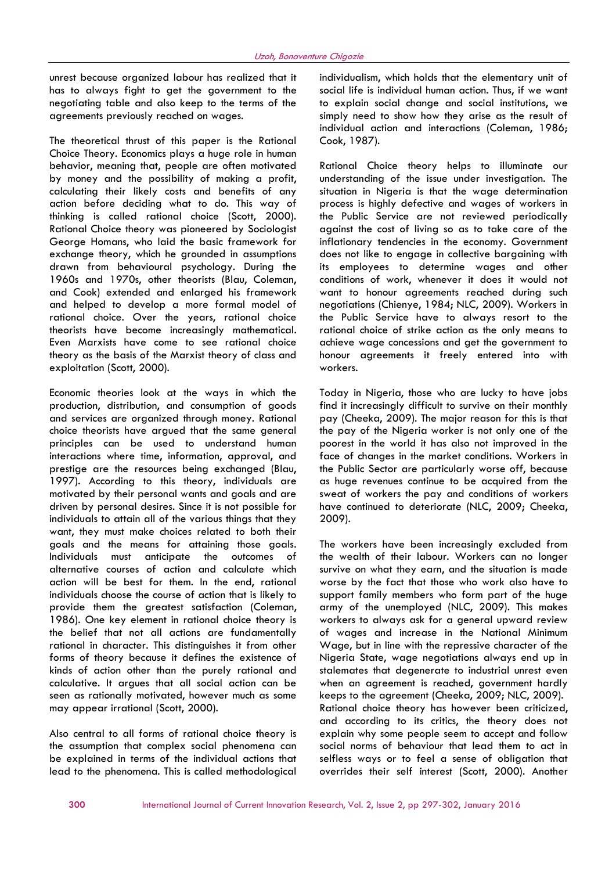unrest because organized labour has realized that it has to always fight to get the government to the negotiating table and also keep to the terms of the agreements previously reached on wages.

The theoretical thrust of this paper is the Rational Choice Theory. Economics plays a huge role in human behavior, meaning that, people are often motivated by money and the possibility of making a profit, calculating their likely costs and benefits of any action before deciding what to do. This way of thinking is called rational choice (Scott, 2000). Rational Choice theory was pioneered by Sociologist George Homans, who laid the basic framework for exchange theory, which he grounded in assumptions drawn from behavioural psychology. During the 1960s and 1970s, other theorists (Blau, Coleman, and Cook) extended and enlarged his framework and helped to develop a more formal model of rational choice. Over the years, rational choice theorists have become increasingly mathematical. Even Marxists have come to see rational choice theory as the basis of the Marxist theory of class and exploitation (Scott, 2000).

Economic theories look at the ways in which the production, distribution, and consumption of goods and services are organized through money. Rational choice theorists have argued that the same general principles can be used to understand human interactions where time, information, approval, and prestige are the resources being exchanged (Blau, 1997). According to this theory, individuals are motivated by their personal wants and goals and are driven by personal desires. Since it is not possible for individuals to attain all of the various things that they want, they must make choices related to both their goals and the means for attaining those goals. Individuals must anticipate the outcomes of alternative courses of action and calculate which action will be best for them. In the end, rational individuals choose the course of action that is likely to provide them the greatest satisfaction (Coleman, 1986). One key element in rational choice theory is the belief that not all actions are fundamentally rational in character. This distinguishes it from other forms of theory because it defines the existence of kinds of action other than the purely rational and calculative. It argues that all social action can be seen as rationally motivated, however much as some may appear irrational (Scott, 2000).

Also central to all forms of rational choice theory is the assumption that complex social phenomena can be explained in terms of the individual actions that lead to the phenomena. This is called methodological

individualism, which holds that the elementary unit of social life is individual human action. Thus, if we want to explain social change and social institutions, we simply need to show how they arise as the result of individual action and interactions (Coleman, 1986; Cook, 1987).

Rational Choice theory helps to illuminate our understanding of the issue under investigation. The situation in Nigeria is that the wage determination process is highly defective and wages of workers in the Public Service are not reviewed periodically against the cost of living so as to take care of the inflationary tendencies in the economy. Government does not like to engage in collective bargaining with its employees to determine wages and other conditions of work, whenever it does it would not want to honour agreements reached during such negotiations (Chienye, 1984; NLC, 2009). Workers in the Public Service have to always resort to the rational choice of strike action as the only means to achieve wage concessions and get the government to honour agreements it freely entered into with workers.

Today in Nigeria, those who are lucky to have jobs find it increasingly difficult to survive on their monthly pay (Cheeka, 2009). The major reason for this is that the pay of the Nigeria worker is not only one of the poorest in the world it has also not improved in the face of changes in the market conditions. Workers in the Public Sector are particularly worse off, because as huge revenues continue to be acquired from the sweat of workers the pay and conditions of workers have continued to deteriorate (NLC, 2009; Cheeka, 2009).

The workers have been increasingly excluded from the wealth of their labour. Workers can no longer survive on what they earn, and the situation is made worse by the fact that those who work also have to support family members who form part of the huge army of the unemployed (NLC, 2009). This makes workers to always ask for a general upward review of wages and increase in the National Minimum Wage, but in line with the repressive character of the Nigeria State, wage negotiations always end up in stalemates that degenerate to industrial unrest even when an agreement is reached, government hardly keeps to the agreement (Cheeka, 2009; NLC, 2009). Rational choice theory has however been criticized, and according to its critics, the theory does not explain why some people seem to accept and follow social norms of behaviour that lead them to act in selfless ways or to feel a sense of obligation that overrides their self interest (Scott, 2000). Another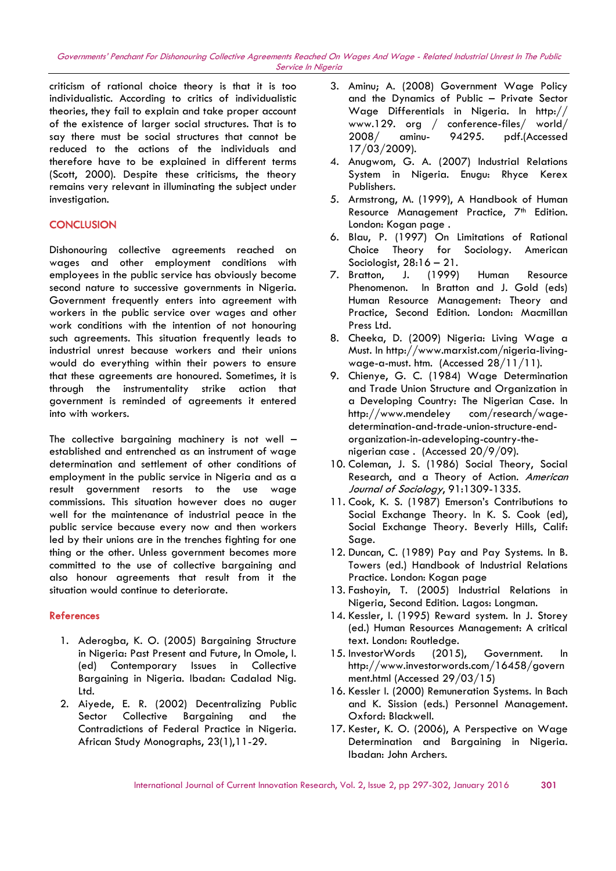*Governments' Penchant For Dishonouring Collective Agreements Reached On Wages And Wage - Related Industrial Unrest In The Public Service In Nigeria*

criticism of rational choice theory is that it is too individualistic. According to critics of individualistic theories, they fail to explain and take proper account of the existence of larger social structures. That is to say there must be social structures that cannot be reduced to the actions of the individuals and therefore have to be explained in different terms (Scott, 2000). Despite these criticisms, the theory remains very relevant in illuminating the subject under investigation.

## **CONCLUSION**

Dishonouring collective agreements reached on wages and other employment conditions with employees in the public service has obviously become second nature to successive governments in Nigeria. Government frequently enters into agreement with workers in the public service over wages and other work conditions with the intention of not honouring such agreements. This situation frequently leads to industrial unrest because workers and their unions would do everything within their powers to ensure that these agreements are honoured. Sometimes, it is through the instrumentality strike action that government is reminded of agreements it entered into with workers.

The collective bargaining machinery is not well established and entrenched as an instrument of wage determination and settlement of other conditions of employment in the public service in Nigeria and as a result government resorts to the use wage commissions. This situation however does no auger well for the maintenance of industrial peace in the public service because every now and then workers led by their unions are in the trenches fighting for one thing or the other. Unless government becomes more committed to the use of collective bargaining and also honour agreements that result from it the situation would continue to deteriorate.

## **References**

- 1. Aderogba, K. O. (2005) Bargaining Structure in Nigeria: Past Present and Future, In Omole, I. (ed) Contemporary Issues in Collective Bargaining in Nigeria. Ibadan: Cadalad Nig. Ltd.
- 2. Aiyede, E. R. (2002) Decentralizing Public Sector Collective Bargaining and the Contradictions of Federal Practice in Nigeria. African Study Monographs, 23(1),11-29.
- 3. Aminu; A. (2008) Government Wage Policy and the Dynamics of Public – Private Sector Wage Differentials in Nigeria. In http:// www.129. org / conference-files/ world/ 2008/ aminu- 94295. pdf.(Accessed 17/03/2009).
- 4. Anugwom, G. A. (2007) Industrial Relations System in Nigeria. Enugu: Rhyce Kerex Publishers.
- 5. Armstrong, M. (1999), A Handbook of Human Resource Management Practice, 7<sup>th</sup> Edition. London: Kogan page .
- 6. Blau, P. (1997) On Limitations of Rational Choice Theory for Sociology. American Sociologist,  $28:16 - 21$ .
- 7. Bratton, J. (1999) Human Resource Phenomenon. In Bratton and J. Gold (eds) Human Resource Management: Theory and Practice, Second Edition. London: Macmillan Press Ltd.
- 8. Cheeka, D. (2009) Nigeria: Living Wage a Must. In http://www.marxist.com/nigeria-living wage-a-must. htm. (Accessed 28/11/11).
- 9. Chienye, G. C. (1984) Wage Determination and Trade Union Structure and Organization in a Developing Country: The Nigerian Case. In http://www.mendeley com/research/wage determination-and-trade-union-structure-end organization-in-adeveloping-country-the nigerian case . (Accessed 20/9/09).
- 10. Coleman, J. S. (1986) Social Theory, Social Research, and a Theory of Action. *American Journal of Sociology*, 91:1309-1335.
- 11. Cook, K. S. (1987) Emerson's Contributions to Social Exchange Theory. In K. S. Cook (ed), Social Exchange Theory. Beverly Hills, Calif: Sage.
- 12. Duncan, C. (1989) Pay and Pay Systems. In B. Towers (ed.) Handbook of Industrial Relations Practice. London: Kogan page
- 13. Fashoyin, T. (2005) Industrial Relations in Nigeria, Second Edition. Lagos: Longman.
- 14. Kessler, I. (1995) Reward system. In J. Storey (ed.) Human Resources Management: A critical text. London: Routledge.
- 15. InvestorWords (2015), Government. In http://www.investorwords.com/16458/govern ment.html (Accessed 29/03/15)
- 16. Kessler I. (2000) Remuneration Systems. In Bach and K. Sission (eds.) Personnel Management. Oxford: Blackwell.
- 17. Kester, K. O. (2006), A Perspective on Wage Determination and Bargaining in Nigeria. Ibadan: John Archers.